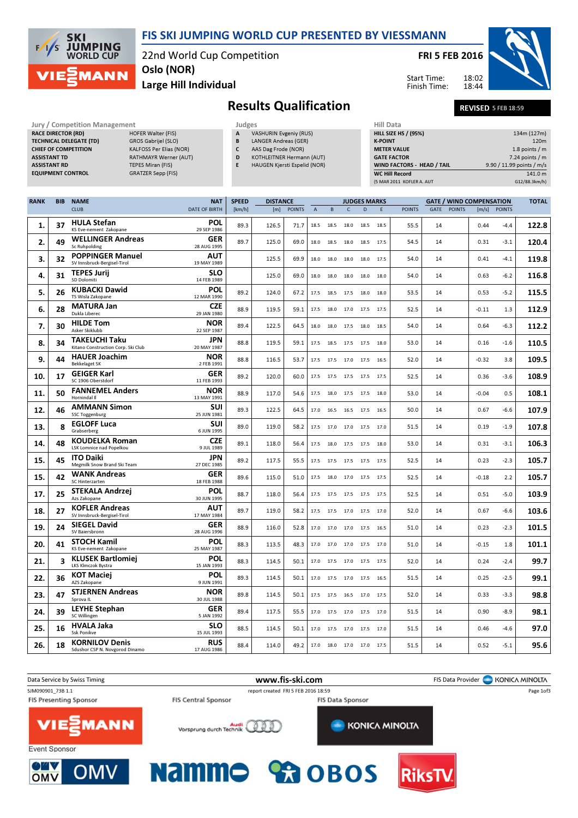

#### FIS SKI JUMPING WORLD CUP PRESENTED BY VIESSMANN

22nd World Cup Competition Oslo (NOR)

Large Hill Individual

FRI 5 FEB 2016

Start Time: Finish Time:



Results Qualification REVISED 5 FEB 18:59

18:02 18:44

| Jury / Competition Management  |                          |
|--------------------------------|--------------------------|
| <b>RACE DIRECTOR (RD)</b>      | <b>HOFER Walter (FI</b>  |
| <b>TECHNICAL DELEGATE (TD)</b> | <b>GROS Gabrijel (SL</b> |
| <b>CHIEF OF COMPETITION</b>    | <b>KALFOSS Per Elias</b> |
| <b>ASSISTANT TD</b>            | <b>RATHMAYR Wern</b>     |
| <b>ASSISTANT RD</b>            | <b>TEPES Miran (FIS)</b> |
| <b>EQUIPMENT CONTROL</b>       | <b>GRATZER Sepp (FI</b>  |
|                                |                          |

| <b>Jury / Competition Management</b> |                                |   | Judges                           | <b>Hill Data</b>   |
|--------------------------------------|--------------------------------|---|----------------------------------|--------------------|
| <b>RACE DIRECTOR (RD)</b>            | <b>HOFER Walter (FIS)</b>      | A | <b>VASHURIN Evgeniy (RUS)</b>    | <b>HILL SIZE H</b> |
| <b>TECHNICAL DELEGATE (TD)</b>       | GROS Gabrijel (SLO)            | B | <b>LANGER Andreas (GER)</b>      | <b>K-POINT</b>     |
| <b>CHIEF OF COMPETITION</b>          | <b>KALFOSS Per Elias (NOR)</b> |   | AAS Dag Frode (NOR)              | <b>METER VAI</b>   |
| <b>ASSISTANT TD</b>                  | <b>RATHMAYR Werner (AUT)</b>   | D | <b>KOTHLEITNER Hermann (AUT)</b> | <b>GATE FACT</b>   |
| <b>ASSISTANT RD</b>                  | <b>TEPES Miran (FIS)</b>       |   | HAUGEN Kjersti Espelid (NOR)     | <b>WIND FACT</b>   |
| <b>EQUIPMENT CONTROL</b>             | <b>GRATZER Sepp (FIS)</b>      |   |                                  | WC Hill Re         |
|                                      |                                |   |                                  | (5 MAR 2011        |

| А | <b>VASHURIN Evgeniy (RUS)</b> |
|---|-------------------------------|
| B | LANGER Andreas (GER)          |
|   |                               |

- C AAS Dag Frode (NOR)
- D KOTHLEITNER Hermann (AUT)
- E HAUGEN Kjersti Espelid (NOR)

| <b>Hill Data</b>                  |                           |
|-----------------------------------|---------------------------|
| <b>HILL SIZE HS / (95%)</b>       | 134m (127m)               |
| <b>K-POINT</b>                    | 120 <sub>m</sub>          |
| <b>METER VALUE</b>                | 1.8 points $/m$           |
| <b>GATE FACTOR</b>                | $7.24$ points / m         |
| <b>WIND FACTORS - HEAD / TAIL</b> | 9.90 / 11.99 points / m/s |
| <b>WC Hill Record</b>             | 141.0 m                   |
| (5 MAR 2011 KOFLER A. AUT         | G12/88.3km/h)             |

| <b>RANK</b> | <b>BIB</b> | <b>NAME</b>                                                | <b>NAT</b>                | <b>SPEED</b> | <b>DISTANCE</b> |               |                |      |                     | <b>JUDGES MARKS</b> |      |               |      |               | <b>GATE / WIND COMPENSATION</b> |               | <b>TOTAL</b> |
|-------------|------------|------------------------------------------------------------|---------------------------|--------------|-----------------|---------------|----------------|------|---------------------|---------------------|------|---------------|------|---------------|---------------------------------|---------------|--------------|
|             |            | <b>CLUB</b>                                                | <b>DATE OF BIRTH</b>      | [km/h]       | [m]             | <b>POINTS</b> | $\overline{A}$ | B    | $\mathsf{C}$        | D                   | E    | <b>POINTS</b> | GATE | <b>POINTS</b> | $\lfloor m/s \rfloor$           | <b>POINTS</b> |              |
| 1.          | 37         | <b>HULA Stefan</b><br>KS Eve-nement Zakopane               | <b>POL</b><br>29 SEP 1986 | 89.3         | 126.5           | 71.7          | 18.5           | 18.5 | 18.0                | 18.5                | 18.5 | 55.5          | 14   |               | 0.44                            | $-4.4$        | 122.8        |
| 2.          | 49         | <b>WELLINGER Andreas</b><br>Sc Ruhpolding                  | GER<br>28 AUG 1995        | 89.7         | 125.0           | 69.0          | 18.0           | 18.5 | 18.0                | 18.5 17.5           |      | 54.5          | 14   |               | 0.31                            | $-3.1$        | 120.4        |
| 3.          | 32         | <b>POPPINGER Manuel</b><br>SV Innsbruck-Bergisel-Tirol     | <b>AUT</b><br>19 MAY 1989 |              | 125.5           | 69.9          | 18.0           | 18.0 | 18.0                | 18.0                | 17.5 | 54.0          | 14   |               | 0.41                            | $-4.1$        | 119.8        |
| 4.          | 31         | <b>TEPES Jurij</b><br>SD Dolomiti                          | <b>SLO</b><br>14 FEB 1989 |              | 125.0           | 69.0          | 18.0           | 18.0 | 18.0                | 18.0                | 18.0 | 54.0          | 14   |               | 0.63                            | $-6.2$        | 116.8        |
| 5.          | 26         | <b>KUBACKI Dawid</b><br>TS Wisla Zakopane                  | <b>POL</b><br>12 MAR 1990 | 89.2         | 124.0           | 67.2          | 17.5           | 18.5 | 17.5 18.0 18.0      |                     |      | 53.5          | 14   |               | 0.53                            | $-5.2$        | 115.5        |
| 6.          | 28         | <b>MATURA Jan</b><br>Dukla Liberec                         | <b>CZE</b><br>29 JAN 1980 | 88.9         | 119.5           | 59.1          | 17.5           | 18.0 | 17.0                | 17.5 17.5           |      | 52.5          | 14   |               | $-0.11$                         | 1.3           | 112.9        |
| 7.          | 30         | <b>HILDE Tom</b><br>Asker Skiklubb                         | NOR<br>22 SEP 1987        | 89.4         | 122.5           | 64.5          | 18.0           |      | 18.0 17.5 18.0 18.5 |                     |      | 54.0          | 14   |               | 0.64                            | $-6.3$        | 112.2        |
| 8.          | 34         | <b>TAKEUCHI Taku</b><br>Kitano Construction Corp. Ski Club | <b>JPN</b><br>20 MAY 1987 | 88.8         | 119.5           | 59.1          | 17.5           | 18.5 | 17.5                | 17.5                | 18.0 | 53.0          | 14   |               | 0.16                            | $-1.6$        | 110.5        |
| 9.          | 44         | <b>HAUER Joachim</b><br><b>Bekkelaget SK</b>               | <b>NOR</b><br>2 FEB 1991  | 88.8         | 116.5           | 53.7          | 17.5           |      | 17.5 17.0 17.5 16.5 |                     |      | 52.0          | 14   |               | $-0.32$                         | 3.8           | 109.5        |
| 10.         | 17         | <b>GEIGER Karl</b><br>SC 1906 Oberstdorf                   | GER<br>11 FEB 1993        | 89.2         | 120.0           | 60.0          | 17.5           | 17.5 | 17.5 17.5           |                     | 17.5 | 52.5          | 14   |               | 0.36                            | $-3.6$        | 108.9        |
| 11.         | 50         | <b>FANNEMEL Anders</b><br>Hornindal II                     | NOR<br>13 MAY 1991        | 88.9         | 117.0           | 54.6          | 17.5           | 18.0 | 17.5                | 17.5                | 18.0 | 53.0          | 14   |               | $-0.04$                         | 0.5           | 108.1        |
| 12.         | 46         | <b>AMMANN Simon</b><br><b>SSC Toggenburg</b>               | <b>SUI</b><br>25 JUN 1981 | 89.3         | 122.5           | 64.5          | 17.0           | 16.5 | 16.5                | 17.5                | 16.5 | 50.0          | 14   |               | 0.67                            | -6.6          | 107.9        |
| 13.         | 8          | <b>EGLOFF Luca</b><br>Grabserberg                          | <b>SUI</b><br>6 JUN 1995  | 89.0         | 119.0           | 58.2          | 17.5           |      | 17.0 17.0 17.5 17.0 |                     |      | 51.5          | 14   |               | 0.19                            | $-1.9$        | 107.8        |
| 14.         | 48         | KOUDELKA Roman<br><b>LSK Lomnice nad Popelkou</b>          | <b>CZE</b><br>9 JUL 1989  | 89.1         | 118.0           | 56.4          | 17.5           | 18.0 | 17.5                | 17.5                | 18.0 | 53.0          | 14   |               | 0.31                            | $-3.1$        | 106.3        |
| 15.         | 45         | <b>ITO Daiki</b><br>Megmilk Snow Brand Ski Team            | JPN<br>27 DEC 1985        | 89.2         | 117.5           | 55.5          | 17.5           | 17.5 | 17.5 17.5           |                     | 17.5 | 52.5          | 14   |               | 0.23                            | $-2.3$        | 105.7        |
| 15.         | 42         | <b>WANK Andreas</b><br>SC Hinterzarten                     | GER<br>18 FEB 1988        | 89.6         | 115.0           | 51.0          | 17.5           | 18.0 | 17.0                | 17.5                | 17.5 | 52.5          | 14   |               | $-0.18$                         | 2.2           | 105.7        |
| 17.         | 25         | <b>STEKALA Andrzej</b><br>Azs Zakopane                     | <b>POL</b><br>30 JUN 1995 | 88.7         | 118.0           | 56.4          | 17.5           | 17.5 | 17.5 17.5 17.5      |                     |      | 52.5          | 14   |               | 0.51                            | $-5.0$        | 103.9        |
| 18.         | 27         | <b>KOFLER Andreas</b><br>SV Innsbruck-Bergisel-Tirol       | <b>AUT</b><br>17 MAY 1984 | 89.7         | 119.0           | 58.2          | 17.5           | 17.5 | 17.0                | 17.5 17.0           |      | 52.0          | 14   |               | 0.67                            | $-6.6$        | 103.6        |
| 19.         | 24         | <b>SIEGEL David</b><br>SV Baiersbronn                      | GER<br>28 AUG 1996        | 88.9         | 116.0           | 52.8          | 17.0           | 17.0 | 17.0                | 17.5                | 16.5 | 51.0          | 14   |               | 0.23                            | $-2.3$        | 101.5        |
| 20.         | 41         | <b>STOCH Kamil</b><br>KS Eve-nement Zakopane               | <b>POL</b><br>25 MAY 1987 | 88.3         | 113.5           | 48.3          | 17.0           | 17.0 | 17.0                | 17.5                | 17.0 | 51.0          | 14   |               | $-0.15$                         | 1.8           | 101.1        |
| 21.         | 3          | <b>KLUSEK Bartlomiej</b><br>LKS Klmczok Bystra             | POL<br>15 JAN 1993        | 88.3         | 114.5           | 50.1          | 17.0           | 17.5 | 17.0 17.5 17.5      |                     |      | 52.0          | 14   |               | 0.24                            | -2.4          | 99.7         |
| 22.         | 36         | <b>KOT Maciej</b><br>AZS Zakopane                          | <b>POL</b><br>9 JUN 1991  | 89.3         | 114.5           | 50.1          | 17.0           | 17.5 | 17.0                | 17.5                | 16.5 | 51.5          | 14   |               | 0.25                            | $-2.5$        | 99.1         |
| 23.         | 47         | <b>STJERNEN Andreas</b><br>Sprova IL                       | <b>NOR</b><br>30 JUL 1988 | 89.8         | 114.5           | 50.1          | 17.5           | 17.5 | 16.5                | 17.0                | 17.5 | 52.0          | 14   |               | 0.33                            | $-3.3$        | 98.8         |
| 24.         | 39         | <b>LEYHE Stephan</b><br>SC Willingen                       | <b>GER</b><br>5 JAN 1992  | 89.4         | 117.5           | 55.5          | 17.0           | 17.5 | 17.0                | 17.5                | 17.0 | 51.5          | 14   |               | 0.90                            | $-8.9$        | 98.1         |
| 25.         | 16         | <b>HVALA Jaka</b><br>Ssk Ponikve                           | <b>SLO</b><br>15 JUL 1993 | 88.5         | 114.5           | 50.1          | 17.0           | 17.5 | 17.0 17.5 17.0      |                     |      | 51.5          | 14   |               | 0.46                            | -4.6          | 97.0         |
| 26.         | 18         | <b>KORNILOV Denis</b><br>Sdushor CSP N. Novgorod Dinamo    | <b>RUS</b><br>17 AUG 1986 | 88.4         | 114.0           | 49.2          | 17.0           |      | 18.0 17.0 17.0 17.5 |                     |      | 51.5          | 14   |               | 0.52                            | -5.1          | 95.6         |

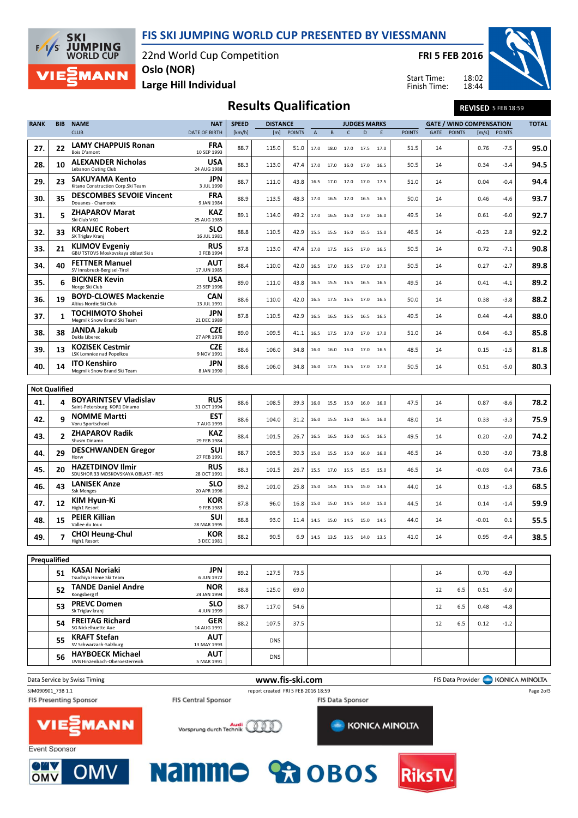FIS SKI JUMPING WORLD CUP PRESENTED BY VIESSMANN

22nd World Cup Competition Oslo (NOR)

FRI 5 FEB 2016



18:02 18:44

# Large Hill Individual

**SKI** 

 $F/1/S$ 

**JUMPING**<br>WORLD CUP

**MANN** 

| <b>Results Qualification</b> | <b>REVISED 5 FEB 18:59</b> |
|------------------------------|----------------------------|

Start Time: Finish Time:

| <b>RANK</b>          | <b>BIB</b>                                            | <b>NAME</b>                                                                      | <b>NAT</b>                        | <b>SPEED</b> | <b>DISTANCE</b>                     |               |                |                | <b>JUDGES MARKS</b> |      |      | <b>GATE / WIND COMPENSATION</b> |      |               | <b>TOTAL</b> |               |           |
|----------------------|-------------------------------------------------------|----------------------------------------------------------------------------------|-----------------------------------|--------------|-------------------------------------|---------------|----------------|----------------|---------------------|------|------|---------------------------------|------|---------------|--------------|---------------|-----------|
|                      |                                                       | <b>CLUB</b>                                                                      | <b>DATE OF BIRTH</b>              | [km/h]       | [m]                                 | <b>POINTS</b> | $\overline{A}$ | B              | $\mathsf{C}$        | D    | E    | <b>POINTS</b>                   | GATE | <b>POINTS</b> | [m/s]        | <b>POINTS</b> |           |
| 27.                  | 22                                                    | <b>LAMY CHAPPUIS Ronan</b><br>Bois D'amont                                       | FRA<br>10 SEP 1993                | 88.7         | 115.0                               | 51.0          | 17.0           | 18.0           | 17.0                | 17.5 | 17.0 | 51.5                            | 14   |               | 0.76         | -7.5          | 95.0      |
| 28.                  | 10                                                    | <b>ALEXANDER Nicholas</b>                                                        | <b>USA</b>                        | 88.3         | 113.0                               | 47.4          | 17.0           | 17.0           | 16.0                | 17.0 | 16.5 | 50.5                            | 14   |               | 0.34         | -3.4          | 94.5      |
| 29.                  | 23                                                    | Lebanon Outing Club<br>SAKUYAMA Kento                                            | 24 AUG 1988<br>JPN                | 88.7         | 111.0                               | 43.8          | 16.5           | 17.0           | 17.0                | 17.0 | 17.5 | 51.0                            | 14   |               | 0.04         | $-0.4$        | 94.4      |
| 30.                  | 35                                                    | Kitano Construction Corp.Ski Team<br><b>DESCOMBES SEVOIE Vincent</b>             | 3 JUL 1990<br><b>FRA</b>          | 88.9         | 113.5                               | 48.3          | 17.0           | 16.5           | 17.0                | 16.5 | 16.5 | 50.0                            | 14   |               | 0.46         | -4.6          | 93.7      |
| 31.                  | 5                                                     | Douanes - Chamonix<br><b>ZHAPAROV Marat</b>                                      | 9 JAN 1984<br>KAZ                 | 89.1         | 114.0                               | 49.2          | 17.0           | 16.5           | 16.0                | 17.0 | 16.0 | 49.5                            | 14   |               | 0.61         | $-6.0$        | 92.7      |
| 32.                  | 33                                                    | Ski Club VKO<br><b>KRANJEC Robert</b>                                            | 25 AUG 1985<br><b>SLO</b>         | 88.8         | 110.5                               | 42.9          | 15.5           | 15.5           | 16.0                | 15.5 | 15.0 | 46.5                            | 14   |               | $-0.23$      | 2.8           | 92.2      |
| 33.                  | 21                                                    | SK Triglav Kranj<br><b>KLIMOV Evgeniy</b><br>GBU TSTOVS Moskovskaya oblast Ski s | 16 JUL 1981<br><b>RUS</b>         | 87.8         | 113.0                               | 47.4          |                | 17.0 17.5 16.5 |                     | 17.0 | 16.5 | 50.5                            | 14   |               | 0.72         | $-7.1$        | 90.8      |
| 34.                  | 40                                                    | <b>FETTNER Manuel</b><br>SV Innsbruck-Bergisel-Tirol                             | 3 FEB 1994<br>AUT<br>17 JUN 1985  | 88.4         | 110.0                               | 42.0          | 16.5           | 17.0           | 16.5                | 17.0 | 17.0 | 50.5                            | 14   |               | 0.27         | -2.7          | 89.8      |
| 35.                  | 6                                                     | <b>BICKNER Kevin</b>                                                             | <b>USA</b>                        | 89.0         | 111.0                               | 43.8          | 16.5           | 15.5           | 16.5                | 16.5 | 16.5 | 49.5                            | 14   |               | 0.41         | -4.1          | 89.2      |
| 36.                  | 19                                                    | Norge Ski Club<br><b>BOYD-CLOWES Mackenzie</b><br>Altius Nordic Ski Club         | 23 SEP 1996<br>CAN<br>13 JUL 1991 | 88.6         | 110.0                               | 42.0          | 16.5           | 17.5           | 16.5                | 17.0 | 16.5 | 50.0                            | 14   |               | 0.38         | -3.8          | 88.2      |
| 37.                  | 1                                                     | <b>TOCHIMOTO Shohei</b><br>Megmilk Snow Brand Ski Team                           | JPN<br>21 DEC 1989                | 87.8         | 110.5                               | 42.9          | 16.5           | 16.5           | 16.5                | 16.5 | 16.5 | 49.5                            | 14   |               | 0.44         | $-4.4$        | 88.0      |
| 38.                  | 38                                                    | JANDA Jakub<br>Dukla Liberec                                                     | <b>CZE</b><br>27 APR 1978         | 89.0         | 109.5                               | 41.1          | 16.5           | 17.5           | 17.0                | 17.0 | 17.0 | 51.0                            | 14   |               | 0.64         | -6.3          | 85.8      |
| 39.                  | 13                                                    | <b>KOZISEK Cestmir</b><br><b>LSK Lomnice nad Popelkou</b>                        | <b>CZE</b><br>9 NOV 1991          | 88.6         | 106.0                               | 34.8          | 16.0           | 16.0           | 16.0                | 17.0 | 16.5 | 48.5                            | 14   |               | 0.15         | $-1.5$        | 81.8      |
| 40.                  | 14                                                    | <b>ITO Kenshiro</b><br>Megmilk Snow Brand Ski Team                               | JPN<br>8 JAN 1990                 | 88.6         | 106.0                               | 34.8          | 16.0           | 17.5 16.5      |                     | 17.0 | 17.0 | 50.5                            | 14   |               | 0.51         | $-5.0$        | 80.3      |
|                      |                                                       |                                                                                  |                                   |              |                                     |               |                |                |                     |      |      |                                 |      |               |              |               |           |
| <b>Not Qualified</b> |                                                       |                                                                                  |                                   |              |                                     |               |                |                |                     |      |      |                                 |      |               |              |               |           |
| 41.                  | 4                                                     | <b>BOYARINTSEV Vladislav</b><br>Saint-Petersburg KOR1 Dinamo                     | <b>RUS</b><br>31 OCT 1994         | 88.6         | 108.5                               | 39.3          | 16.0           | 15.5           | 15.0                | 16.0 | 16.0 | 47.5                            | 14   |               | 0.87         | $-8.6$        | 78.2      |
| 42.                  | 9                                                     | <b>NOMME Martti</b><br>Voru Sportschool                                          | EST<br>7 AUG 1993                 | 88.6         | 104.0                               | 31.2          | 16.0           | 15.5           | 16.0                | 16.5 | 16.0 | 48.0                            | 14   |               | 0.33         | $-3.3$        | 75.9      |
| 43.                  | $\overline{2}$                                        | <b>ZHAPAROV Radik</b><br>Shvsm Dinamo                                            | KAZ<br>29 FEB 1984                | 88.4         | 101.5                               | 26.7          | 16.5           | 16.5           | 16.0                | 16.5 | 16.5 | 49.5                            | 14   |               | 0.20         | $-2.0$        | 74.2      |
| 44.                  | 29                                                    | <b>DESCHWANDEN Gregor</b><br>Horw                                                | SUI<br>27 FEB 1991                | 88.7         | 103.5                               | 30.3          | 15.0           | 15.5           | 15.0                | 16.0 | 16.0 | 46.5                            | 14   |               | 0.30         | $-3.0$        | 73.8      |
| 45.                  | 20                                                    | <b>HAZETDINOV Ilmir</b><br>SDUSHOR 33 MOSKOVSKAYA OBLAST - RES                   | <b>RUS</b><br>28 OCT 1991         | 88.3         | 101.5                               | 26.7          | 15.5           | 17.0           | 15.5                | 15.5 | 15.0 | 46.5                            | 14   |               | $-0.03$      | 0.4           | 73.6      |
| 46.                  | 43                                                    | <b>LANISEK Anze</b><br><b>Ssk Menges</b>                                         | <b>SLO</b><br>20 APR 1996         | 89.2         | 101.0                               | 25.8          | 15.0           | 14.5           | 14.5                | 15.0 | 14.5 | 44.0                            | 14   |               | 0.13         | -1.3          | 68.5      |
| 47.                  | 12                                                    | KIM Hyun-Ki<br>High1 Resort                                                      | KOR<br>9 FEB 1983                 | 87.8         | 96.0                                | 16.8          | 15.0           | 15.0 14.5      |                     | 14.0 | 15.0 | 44.5                            | 14   |               | 0.14         | -1.4          | 59.9      |
| 48.                  | 15                                                    | <b>PEIER Killian</b><br>Vallee du Joux                                           | SUI<br>28 MAR 1995                | 88.8         | 93.0                                | 11.4          | 14.5           | 15.0           | 14.5                | 15.0 | 14.5 | 44.0                            | 14   |               | $-0.01$      | 0.1           | 55.5      |
| 49.                  | 7                                                     | <b>CHOI Heung-Chul</b><br>High1 Resort                                           | KOR<br>3 DEC 1981                 | 88.2         | 90.5                                | 6.9           | 14.5           | 13.5 13.5      |                     | 14.0 | 13.5 | 41.0                            | 14   |               | 0.95         | $-9.4$        | 38.5      |
|                      |                                                       |                                                                                  |                                   |              |                                     |               |                |                |                     |      |      |                                 |      |               |              |               |           |
| Prequalified         |                                                       |                                                                                  |                                   |              |                                     |               |                |                |                     |      |      |                                 |      |               |              |               |           |
|                      | 51                                                    | KASAI Noriaki<br>Tsuchiya Home Ski Team                                          | <b>JPN</b><br>6 JUN 1972          | 89.2         | 127.5                               | 73.5          |                |                |                     |      |      |                                 | 14   |               | 0.70         | $-6.9$        |           |
|                      | 52                                                    | <b>TANDE Daniel Andre</b><br>Kongsberg If                                        | <b>NOR</b><br>24 JAN 1994         | 88.8         | 125.0                               | 69.0          |                |                |                     |      |      |                                 | 12   | 6.5           | 0.51         | $-5.0$        |           |
|                      | 53                                                    | <b>PREVC Domen</b><br>Sk Triglav kranj                                           | <b>SLO</b><br>4 JUN 1999          | 88.7         | 117.0                               | 54.6          |                |                |                     |      |      |                                 | 12   | 6.5           | 0.48         | $-4.8$        |           |
|                      | 54                                                    | <b>FREITAG Richard</b><br>SG Nickelhuette Aue                                    | <b>GER</b><br>14 AUG 1991         | 88.2         | 107.5                               | 37.5          |                |                |                     |      |      |                                 | 12   | 6.5           | 0.12         | $-1.2$        |           |
|                      | 55                                                    | <b>KRAFT Stefan</b><br>SV Schwarzach-Salzburg                                    | <b>AUT</b><br>13 MAY 1993         |              | <b>DNS</b>                          |               |                |                |                     |      |      |                                 |      |               |              |               |           |
|                      | 56                                                    | <b>HAYBOECK Michael</b><br>UVB Hinzenbach-Oberoesterreich                        | AUT<br>5 MAR 1991                 |              | <b>DNS</b>                          |               |                |                |                     |      |      |                                 |      |               |              |               |           |
|                      | www.fis-ski.com<br>FIS Data Provider   KONICA MINOLTA |                                                                                  |                                   |              |                                     |               |                |                |                     |      |      |                                 |      |               |              |               |           |
| SJM090901_73B 1.1    |                                                       | Data Service by Swiss Timing                                                     |                                   |              | report created FRI 5 FEB 2016 18:59 |               |                |                |                     |      |      |                                 |      |               |              |               | Page 2of3 |
|                      |                                                       |                                                                                  |                                   |              |                                     |               |                |                |                     |      |      |                                 |      |               |              |               |           |

**FIS Presenting Sponsor** 



FIS Data Sponsor













FIS Central Sponsor